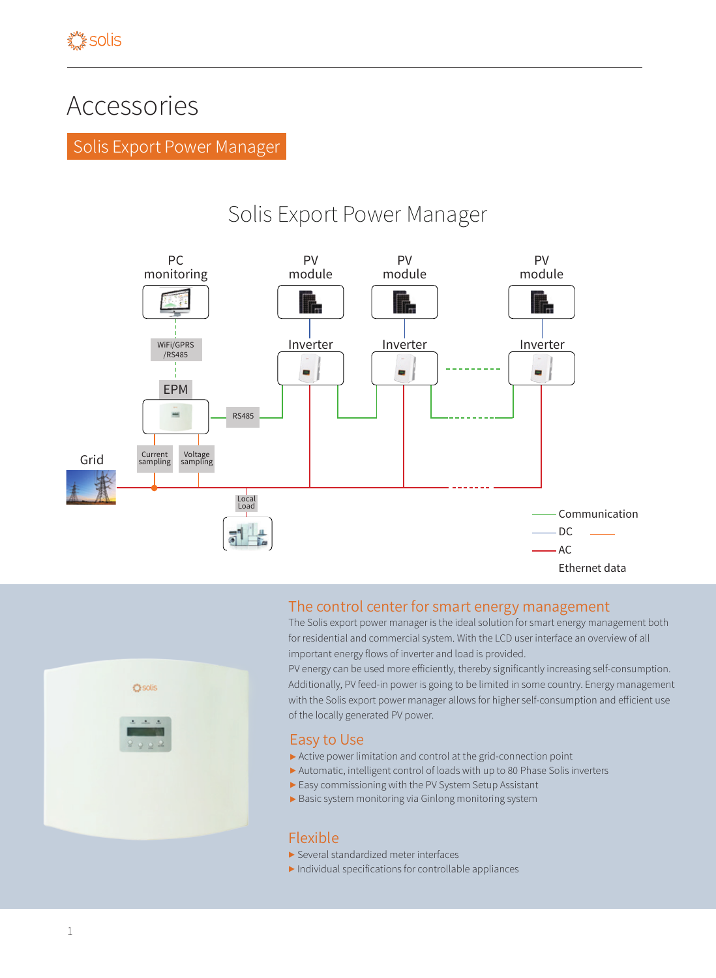# Accessories

Solis Export Power Manager

# Solis Export Power Manager



## The control center for smart energy management

The Solis export power manager is the ideal solution for smart energy management both for residential and commercial system. With the LCD user interface an overview of all important energy flows of inverter and load is provided.

PV energy can be used more efficiently, thereby significantly increasing self-consumption. Additionally, PV feed-in power is going to be limited in some country. Energy management with the Solis export power manager allows for higher self-consumption and efficient use of the locally generated PV power.

#### Easy to Use

- ▶ Active power limitation and control at the grid-connection point
- ▶ Automatic, intelligent control of loads with up to 80 Phase Solis inverters
- ▶ Easy commissioning with the PV System Setup Assistant
- ▶ Basic system monitoring via Ginlong monitoring system

### Flexible

- ▶ Several standardized meter interfaces
- $\blacktriangleright$  Individual specifications for controllable appliances

**O** solis